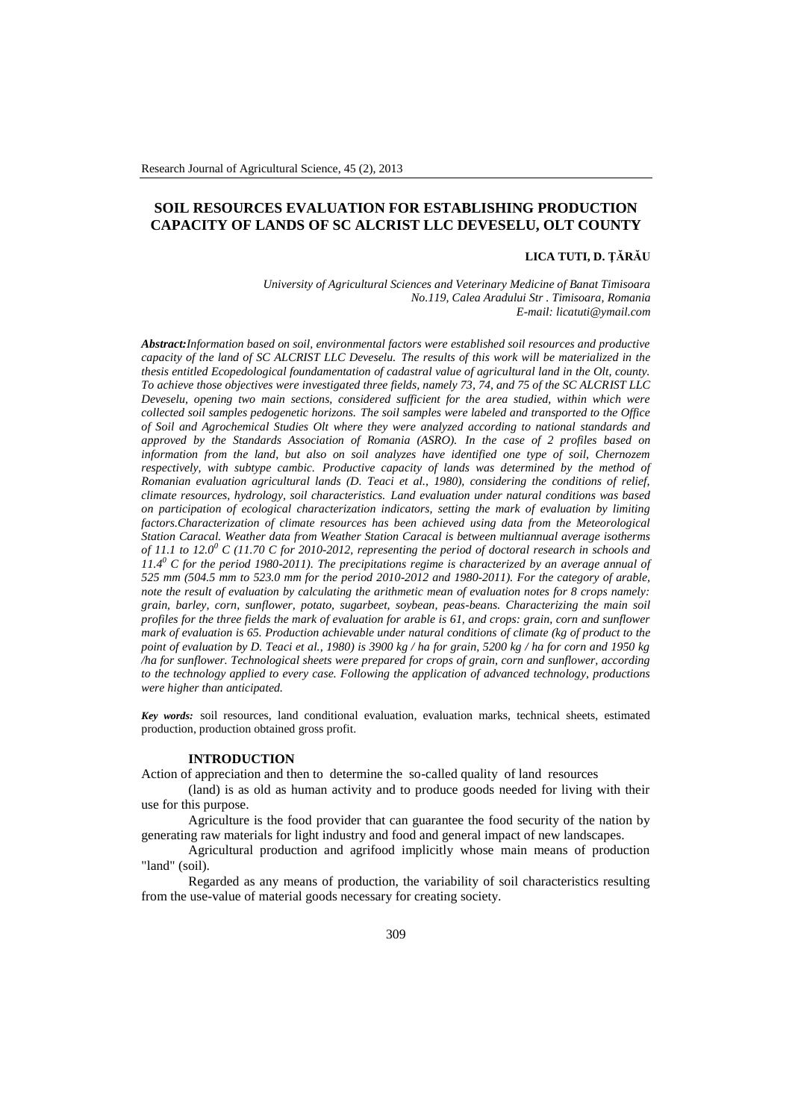# **SOIL RESOURCES EVALUATION FOR ESTABLISHING PRODUCTION CAPACITY OF LANDS OF SC ALCRIST LLC DEVESELU, OLT COUNTY**

#### **LICA TUTI, D. ŢĂRĂU**

*University of Agricultural Sciences and Veterinary Medicine of Banat Timisoara No.119, Calea Aradului Str . Timisoara, Romania E-mail[: licatuti@ymail.com](mailto:licatuti@ymail.com)*

*Abstract:Information based on soil, environmental factors were established soil resources and productive capacity of the land of SC ALCRIST LLC Deveselu. The results of this work will be materialized in the thesis entitled Ecopedological foundamentation of cadastral value of agricultural land in the Olt, county. To achieve those objectives were investigated three fields, namely 73, 74, and 75 of the SC ALCRIST LLC Deveselu, opening two main sections, considered sufficient for the area studied, within which were collected soil samples pedogenetic horizons. The soil samples were labeled and transported to the Office of Soil and Agrochemical Studies Olt where they were analyzed according to national standards and approved by the Standards Association of Romania (ASRO). In the case of 2 profiles based on information from the land, but also on soil analyzes have identified one type of soil, Chernozem respectively, with subtype cambic. Productive capacity of lands was determined by the method of Romanian evaluation agricultural lands (D. Teaci et al., 1980), considering the conditions of relief, climate resources, hydrology, soil characteristics. Land evaluation under natural conditions was based on participation of ecological characterization indicators, setting the mark of evaluation by limiting factors.Characterization of climate resources has been achieved using data from the Meteorological Station Caracal. Weather data from Weather Station Caracal is between multiannual average isotherms of 11.1 to 12.0<sup>0</sup> C (11.70 C for 2010-2012, representing the period of doctoral research in schools and 11.4<sup>0</sup> C for the period 1980-2011). The precipitations regime is characterized by an average annual of 525 mm (504.5 mm to 523.0 mm for the period 2010-2012 and 1980-2011). For the category of arable, note the result of evaluation by calculating the arithmetic mean of evaluation notes for 8 crops namely: grain, barley, corn, sunflower, potato, sugarbeet, soybean, peas-beans. Characterizing the main soil profiles for the three fields the mark of evaluation for arable is 61, and crops: grain, corn and sunflower mark of evaluation is 65. Production achievable under natural conditions of climate (kg of product to the point of evaluation by D. Teaci et al., 1980) is 3900 kg / ha for grain, 5200 kg / ha for corn and 1950 kg /ha for sunflower. Technological sheets were prepared for crops of grain, corn and sunflower, according to the technology applied to every case. Following the application of advanced technology, productions were higher than anticipated.*

*Key words:* soil resources, land conditional evaluation, evaluation marks, technical sheets, estimated production, production obtained gross profit.

#### **INTRODUCTION**

Action of appreciation and then to determine the so-called quality of land resources

(land) is as old as human activity and to produce goods needed for living with their use for this purpose.

Agriculture is the food provider that can guarantee the food security of the nation by generating raw materials for light industry and food and general impact of new landscapes.

Agricultural production and agrifood implicitly whose main means of production "land" (soil).

Regarded as any means of production, the variability of soil characteristics resulting from the use-value of material goods necessary for creating society.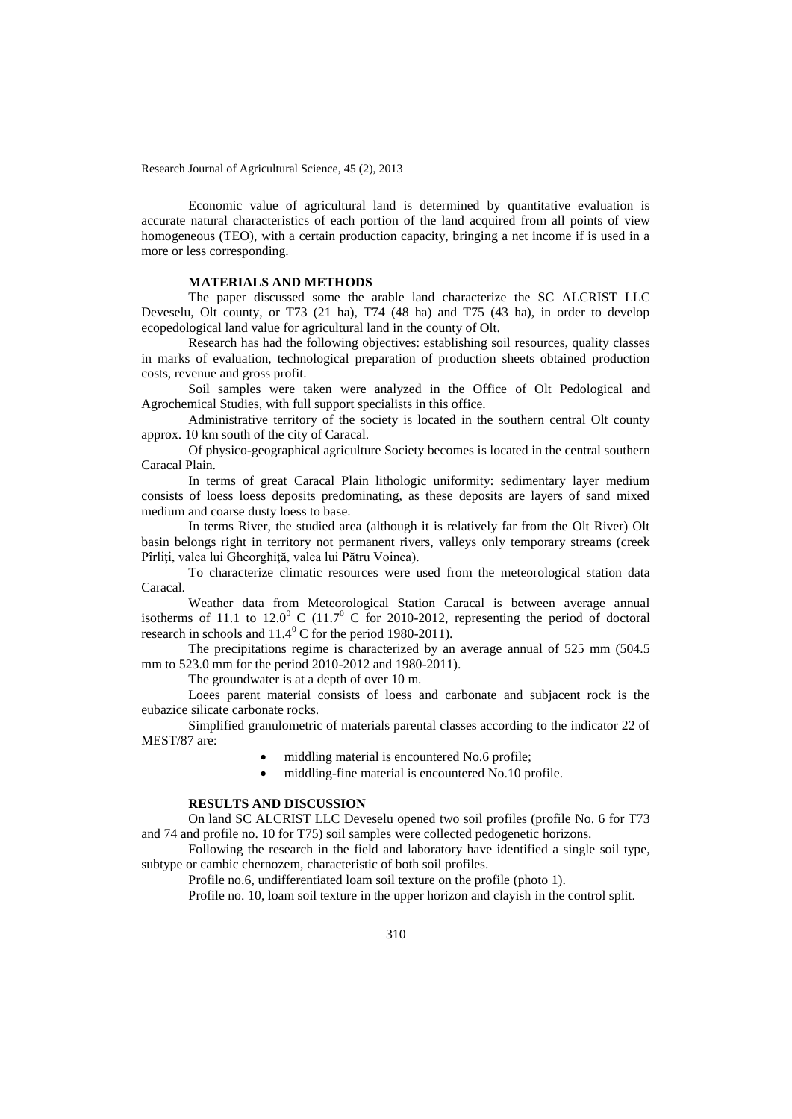Economic value of agricultural land is determined by quantitative evaluation is accurate natural characteristics of each portion of the land acquired from all points of view homogeneous (TEO), with a certain production capacity, bringing a net income if is used in a more or less corresponding.

## **MATERIALS AND METHODS**

The paper discussed some the arable land characterize the SC ALCRIST LLC Deveselu, Olt county, or T73 (21 ha), T74 (48 ha) and T75 (43 ha), in order to develop ecopedological land value for agricultural land in the county of Olt.

Research has had the following objectives: establishing soil resources, quality classes in marks of evaluation, technological preparation of production sheets obtained production costs, revenue and gross profit.

Soil samples were taken were analyzed in the Office of Olt Pedological and Agrochemical Studies, with full support specialists in this office.

Administrative territory of the society is located in the southern central Olt county approx. 10 km south of the city of Caracal.

Of physico-geographical agriculture Society becomes is located in the central southern Caracal Plain.

In terms of great Caracal Plain lithologic uniformity: sedimentary layer medium consists of loess loess deposits predominating, as these deposits are layers of sand mixed medium and coarse dusty loess to base.

In terms River, the studied area (although it is relatively far from the Olt River) Olt basin belongs right in territory not permanent rivers, valleys only temporary streams (creek Pîrliţi, valea lui Gheorghiţă, valea lui Pătru Voinea).

To characterize climatic resources were used from the meteorological station data Caracal.

Weather data from Meteorological Station Caracal is between average annual isotherms of 11.1 to  $12.0^{\circ}$  C (11.7<sup>°</sup> C for 2010-2012, representing the period of doctoral research in schools and  $11.4^{\circ}$  C for the period 1980-2011).

The precipitations regime is characterized by an average annual of 525 mm (504.5 mm to 523.0 mm for the period 2010-2012 and 1980-2011).

The groundwater is at a depth of over 10 m.

Loees parent material consists of loess and carbonate and subjacent rock is the eubazice silicate carbonate rocks.

Simplified granulometric of materials parental classes according to the indicator 22 of MEST/87 are:

- middling material is encountered No.6 profile;
- middling-fine material is encountered No.10 profile.

## **RESULTS AND DISCUSSION**

On land SC ALCRIST LLC Deveselu opened two soil profiles (profile No. 6 for T73 and 74 and profile no. 10 for T75) soil samples were collected pedogenetic horizons.

Following the research in the field and laboratory have identified a single soil type, subtype or cambic chernozem, characteristic of both soil profiles.

Profile no.6, undifferentiated loam soil texture on the profile (photo 1).

Profile no. 10, loam soil texture in the upper horizon and clayish in the control split.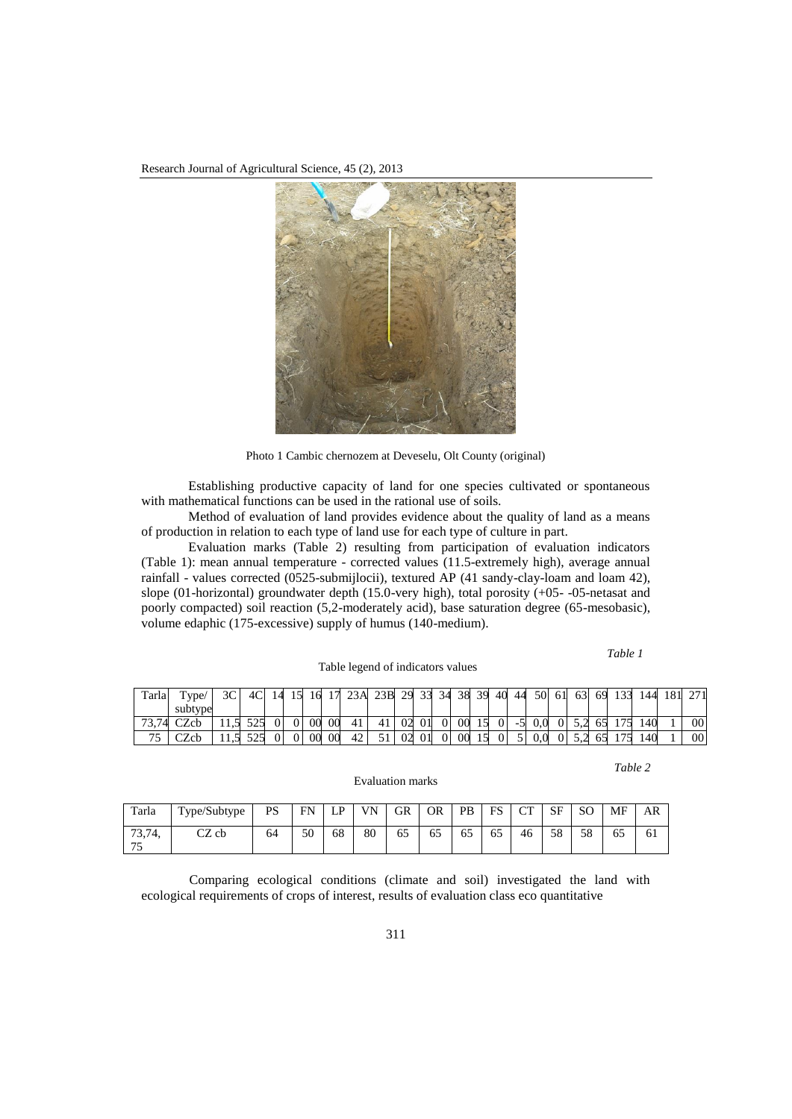Research Journal of Agricultural Science, 45 (2), 2013



Photo 1 Cambic chernozem at Deveselu, Olt County (original)

Establishing productive capacity of land for one species cultivated or spontaneous with mathematical functions can be used in the rational use of soils.

Method of evaluation of land provides evidence about the quality of land as a means of production in relation to each type of land use for each type of culture in part.

Evaluation marks (Table 2) resulting from participation of evaluation indicators (Table 1): mean annual temperature - corrected values (11.5-extremely high), average annual rainfall - values corrected (0525-submijlocii), textured AP (41 sandy-clay-loam and loam 42), slope (01-horizontal) groundwater depth (15.0-very high), total porosity (+05- -05-netasat and poorly compacted) soil reaction (5,2-moderately acid), base saturation degree (65-mesobasic), volume edaphic (175-excessive) supply of humus (140-medium).

 *Table 1* Table legend of indicators values Tarla Type/ subtype 3C 4C 14 15 16 17 23A 23B 29 33 34 38 39 40 44 50 61 63 69 133 144 181 271 73,74 CZcb | 11,5 525 0 | 0 | 00 00 41 | 41 | 02| 01| 0 | 00 | 15 0 | -5 | 0,0 0 | 5,2 65 | 175 | 140 | 1 | 00 75 | CZcb | 11,5 525 0 | 0 | 00 | 00 | 42 | 51 | 02 | 01 | 0 | 00 | 15 | 0 | 5 | 0,0 | 0 | 5,2 | 65 | 175 | 140 | 1 | 00

*Table 2*

Tarla Type/Subtype PS FN LP VN GR OR PB FS CT SF SO MF AR 73,74, 75 CZ cb 64 50 68 80 65 65 65 65 46 58 58 65 61

Evaluation marks

Comparing ecological conditions (climate and soil) investigated the land with ecological requirements of crops of interest, results of evaluation class eco quantitative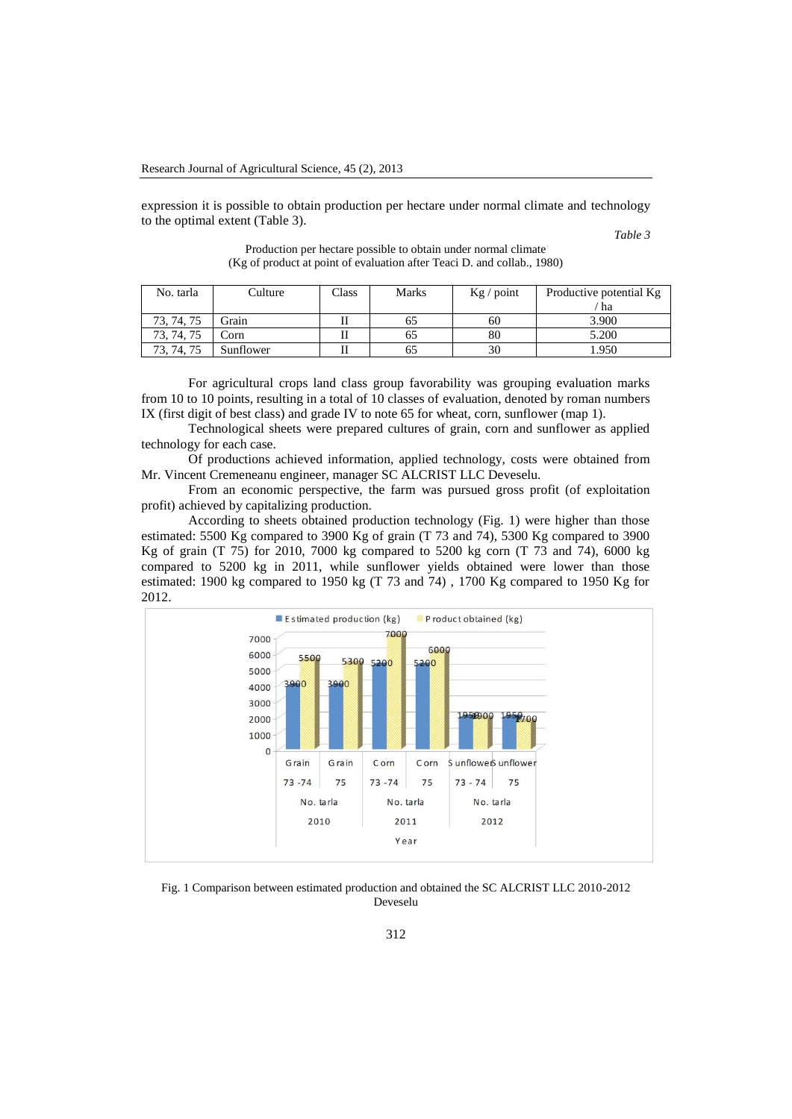expression it is possible to obtain production per hectare under normal climate and technology to the optimal extent (Table 3).

*Table 3* 

| No. tarla        | Culture   | Class | <b>Marks</b> | $Kg /$ point | Productive potential Kg |
|------------------|-----------|-------|--------------|--------------|-------------------------|
|                  |           |       |              |              | ha                      |
| 73, 74, 75       | Grain     |       | OΞ           | 60           | 3.900                   |
| . 74. 75<br>73.  | Corn      |       | 62           | 80           | 5.200                   |
| 75<br>73.<br>74. | Sunflower |       | ნა           | 30           | .950                    |

Production per hectare possible to obtain under normal climate (Kg of product at point of evaluation after Teaci D. and collab., 1980)

For agricultural crops land class group favorability was grouping evaluation marks from 10 to 10 points, resulting in a total of 10 classes of evaluation, denoted by roman numbers IX (first digit of best class) and grade IV to note 65 for wheat, corn, sunflower (map 1).

Technological sheets were prepared cultures of grain, corn and sunflower as applied technology for each case.

Of productions achieved information, applied technology, costs were obtained from Mr. Vincent Cremeneanu engineer, manager SC ALCRIST LLC Deveselu.

From an economic perspective, the farm was pursued gross profit (of exploitation profit) achieved by capitalizing production.

According to sheets obtained production technology (Fig. 1) were higher than those estimated: 5500 Kg compared to 3900 Kg of grain (T 73 and 74), 5300 Kg compared to 3900 Kg of grain (T 75) for 2010, 7000 kg compared to 5200 kg corn (T 73 and 74), 6000 kg compared to 5200 kg in 2011, while sunflower yields obtained were lower than those estimated: 1900 kg compared to 1950 kg (T 73 and 74) , 1700 Kg compared to 1950 Kg for 2012.



Fig. 1 Comparison between estimated production and obtained the SC ALCRIST LLC 2010-2012 Deveselu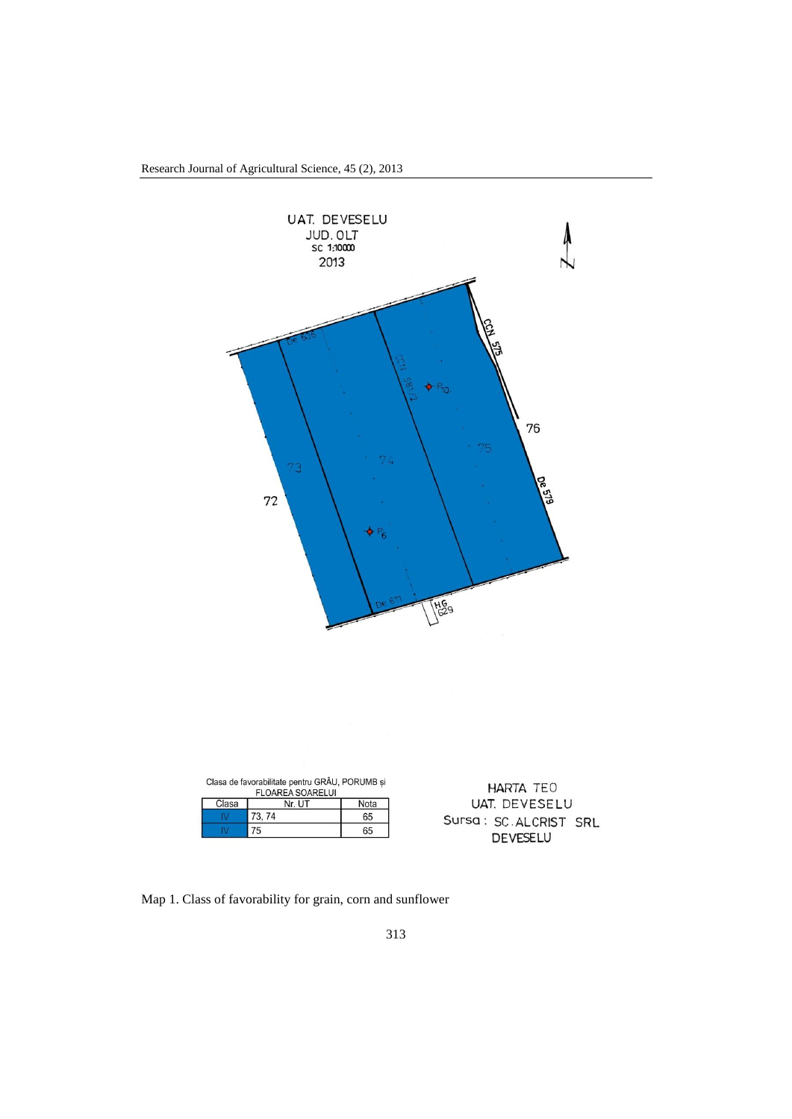



Map 1. Class of favorability for grain, corn and sunflower